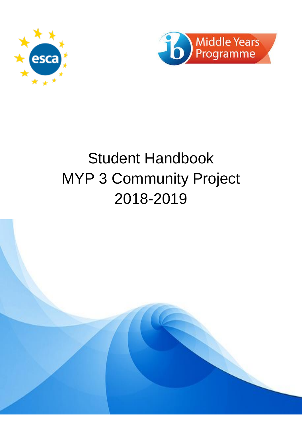



# Student Handbook MYP 3 Community Project 2018-2019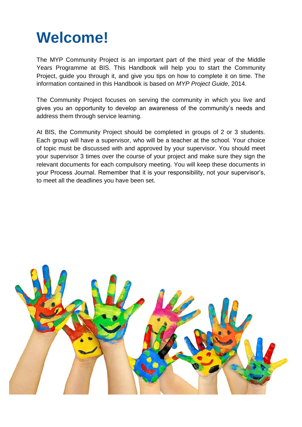## **Welcome!**

The MYP Community Project is an important part of the third year of the Middle Years Programme at BIS. This Handbook will help you to start the Community Project, guide you through it, and give you tips on how to complete it on time. The information contained in this Handbook is based on *MYP Project Guide*, 2014.

The Community Project focuses on serving the community in which you live and gives you an opportunity to develop an awareness of the community's needs and address them through service learning.

At BIS, the Community Project should be completed in groups of 2 or 3 students. Each group will have a supervisor, who will be a teacher at the school. Your choice of topic must be discussed with and approved by your supervisor. You should meet your supervisor 3 times over the course of your project and make sure they sign the relevant documents for each compulsory meeting. You will keep these documents in your Process Journal. Remember that it is your responsibility, not your supervisor's, to meet all the deadlines you have been set.

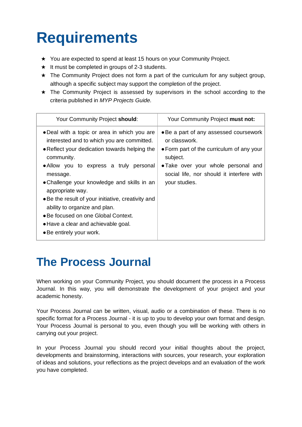# **Requirements**

- ★ You are expected to spend at least 15 hours on your Community Project.
- $\star$  It must be completed in groups of 2-3 students.
- ★ The Community Project does not form a part of the curriculum for any subject group, although a specific subject may support the completion of the project.
- ★ The Community Project is assessed by supervisors in the school according to the criteria published in *MYP Projects Guide.*

| Your Community Project should:                                                                                                                                                                                                                                                                                                                                                                                                                                                       | Your Community Project must not:                                                                                                                                                                                      |
|--------------------------------------------------------------------------------------------------------------------------------------------------------------------------------------------------------------------------------------------------------------------------------------------------------------------------------------------------------------------------------------------------------------------------------------------------------------------------------------|-----------------------------------------------------------------------------------------------------------------------------------------------------------------------------------------------------------------------|
| • Deal with a topic or area in which you are<br>interested and to which you are committed.<br>. Reflect your dedication towards helping the<br>community.<br>• Allow you to express a truly personal<br>message.<br>• Challenge your knowledge and skills in an<br>appropriate way.<br>• Be the result of your initiative, creativity and<br>ability to organize and plan.<br>• Be focused on one Global Context.<br>• Have a clear and achievable goal.<br>• Be entirely your work. | • Be a part of any assessed coursework<br>or classwork.<br>• Form part of the curriculum of any your<br>subject.<br>• Take over your whole personal and<br>social life, nor should it interfere with<br>your studies. |

### **The Process Journal**

When working on your Community Project, you should document the process in a Process Journal. In this way, you will demonstrate the development of your project and your academic honesty.

Your Process Journal can be written, visual, audio or a combination of these. There is no specific format for a Process Journal - it is up to you to develop your own format and design. Your Process Journal is personal to you, even though you will be working with others in carrying out your project.

In your Process Journal you should record your initial thoughts about the project, developments and brainstorming, interactions with sources, your research, your exploration of ideas and solutions, your reflections as the project develops and an evaluation of the work you have completed.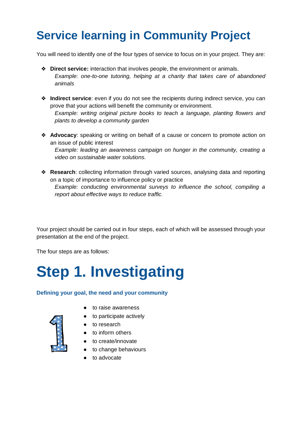### **Service learning in Community Project**

You will need to identify one of the four types of service to focus on in your project. They are:

- ❖ **Direct service:** interaction that involves people, the environment or animals. *Example: one-to-one tutoring, helping at a charity that takes care of abandoned animals*
- ❖ **Indirect service**: even if you do not see the recipients during indirect service, you can prove that your actions will benefit the community or environment. *Example: writing original picture books to teach a language, planting flowers and plants to develop a community garden*
- ❖ **Advocacy**: speaking or writing on behalf of a cause or concern to promote action on an issue of public interest

*Example: leading an awareness campaign on hunger in the community, creating a video on sustainable water solutions.*

❖ **Research**: collecting information through varied sources, analysing data and reporting on a topic of importance to influence policy or practice *Example: conducting environmental surveys to influence the school, compiling a report about effective ways to reduce traffic.*

Your project should be carried out in four steps, each of which will be assessed through your presentation at the end of the project.

The four steps are as follows:

## **Step 1. Investigating**

### **Defining your goal, the need and your community**

- to raise awareness
- to participate actively
- to research
- to inform others
- to create/innovate
- to change behaviours
- to advocate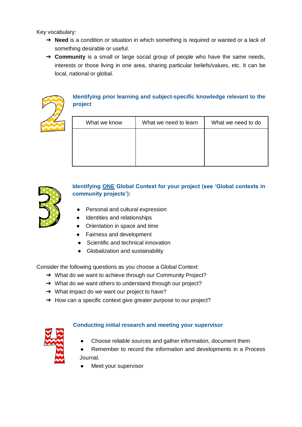Key vocabulary:

- → **Need** is a condition or situation in which something is required or wanted or a lack of something desirable or useful.
- ➔ **Community** is a small or large social group of people who have the same needs, interests or those living in one area, sharing particular beliefs/values, etc. It can be local, national or global.



### **Identifying prior learning and subject-specific knowledge relevant to the project**

| What we know | What we need to learn | What we need to do |
|--------------|-----------------------|--------------------|
|              |                       |                    |
|              |                       |                    |
|              |                       |                    |



### **Identifying ONE Global Context for your project (see 'Global contexts in community projects'):**

- Personal and cultural expression
- Identities and relationships
- Orientation in space and time
- Fairness and development
- Scientific and technical innovation
- Globalization and sustainability

Consider the following questions as you choose a Global Context:

- → What do we want to achieve through our Community Project?
- → What do we want others to understand through our project?
- ➔ What impact do we want our project to have?
- → How can a specific context give greater purpose to our project?



### **Conducting initial research and meeting your supervisor**

- Choose reliable sources and gather information, document them
- Remember to record the information and developments in a Process Journal.
- Meet your supervisor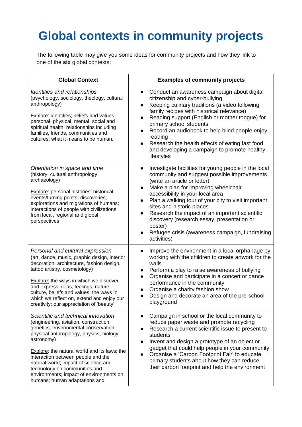## **Global contexts in community projects**

The following table may give you some ideas for community projects and how they link to one of the **six** global contexts:

| <b>Global Context</b>                                                                                                                                                                                                                                                                                                                                                                                                      | <b>Examples of community projects</b>                                                                                                                                                                                                                                                                                                                                                                                                                                                                                                |
|----------------------------------------------------------------------------------------------------------------------------------------------------------------------------------------------------------------------------------------------------------------------------------------------------------------------------------------------------------------------------------------------------------------------------|--------------------------------------------------------------------------------------------------------------------------------------------------------------------------------------------------------------------------------------------------------------------------------------------------------------------------------------------------------------------------------------------------------------------------------------------------------------------------------------------------------------------------------------|
| Identities and relationships<br>(psychology, sociology, theology, cultural<br>anthropology)<br><b>Explore:</b> identities; beliefs and values;<br>personal, physical, mental, social and<br>spiritual health; relationships including<br>families, friends, communities and<br>cultures; what it means to be human.                                                                                                        | Conduct an awareness campaign about digital<br>$\bullet$<br>citizenship and cyber-bullying<br>Keeping culinary traditions (a video following<br>$\bullet$<br>family recipes with historical relevance)<br>Reading support (English or mother tongue) for<br>$\bullet$<br>primary school students<br>Record an audiobook to help blind people enjoy<br>$\bullet$<br>reading<br>Research the health effects of eating fast food<br>$\bullet$<br>and developing a campaign to promote healthy<br>lifestyles                             |
| Orientation in space and time<br>(history, cultural anthropology,<br>archaeology)<br>Explore: personal histories; historical<br>events/turning points; discoveries;<br>explorations and migrations of humans;<br>interactions of people with civilizations<br>from local, regional and global<br>perspectives                                                                                                              | Investigate facilities for young people in the local<br>community and suggest possible improvements<br>(write an article or letter)<br>Make a plan for improving wheelchair<br>$\bullet$<br>accessibility in your local area<br>Plan a walking tour of your city to visit important<br>$\bullet$<br>sites and historic places<br>Research the impact of an important scientific<br>$\bullet$<br>discovery (research essay, presentation or<br>poster)<br>Refugee crisis (awareness campaign, fundraising<br>$\bullet$<br>activities) |
| Personal and cultural expression<br>(art, dance, music, graphic design, interior<br>decoration, architecture, fashion design,<br>tattoo artistry, cosmetology)<br>Explore: the ways in which we discover<br>and express ideas, feelings, nature,<br>culture, beliefs and values; the ways in<br>which we reflect on, extend and enjoy our<br>creativity; our appreciation of 'beauty'                                      | Improve the environment in a local orphanage by<br>$\bullet$<br>working with the children to create artwork for the<br>walls<br>Perform a play to raise awareness of bullying<br>$\bullet$<br>Organise and participate in a concert or dance<br>performance in the community<br>Organise a charity fashion show<br>Design and decorate an area of the pre-school<br>playground                                                                                                                                                       |
| Scientific and technical innovation<br>(engineering, aviation, construction,<br>genetics, environmental conservation,<br>physical anthropology, physics, biology,<br>astronomy)<br>Explore: the natural world and its laws; the<br>interaction between people and the<br>natural world; impact of science and<br>technology on communities and<br>environments; impact of environments on<br>humans; human adaptations and | Campaign in school or the local community to<br>$\bullet$<br>reduce paper waste and promote recycling<br>Research a current scientific issue to present to<br>students<br>Invent and design a prototype of an object or<br>$\bullet$<br>gadget that could help people in your community<br>Organise a 'Carbon Footprint Fair' to educate<br>$\bullet$<br>primary students about how they can reduce<br>their carbon footprint and help the environment                                                                               |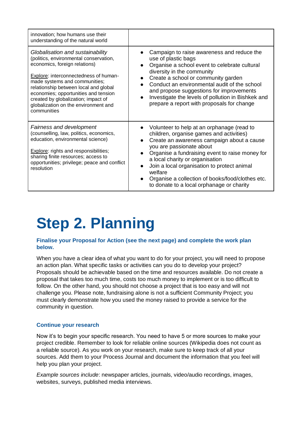| innovation; how humans use their<br>understanding of the natural world                                                                                                                                                                                                                                                                                               |                                                                                                                                                                                                                                                                                                                                                                                                                                |
|----------------------------------------------------------------------------------------------------------------------------------------------------------------------------------------------------------------------------------------------------------------------------------------------------------------------------------------------------------------------|--------------------------------------------------------------------------------------------------------------------------------------------------------------------------------------------------------------------------------------------------------------------------------------------------------------------------------------------------------------------------------------------------------------------------------|
| Globalisation and sustainability<br>(politics, environmental conservation,<br>economics, foreign relations)<br>Explore: interconnectedness of human-<br>made systems and communities;<br>relationship between local and global<br>economies; opportunities and tension<br>created by globalization; impact of<br>globalization on the environment and<br>communities | Campaign to raise awareness and reduce the<br>use of plastic bags<br>Organise a school event to celebrate cultural<br>diversity in the community<br>Create a school or community garden<br>$\bullet$<br>Conduct an environmental audit of the school<br>and propose suggestions for improvements<br>Investigate the levels of pollution in Bishkek and<br>$\bullet$<br>prepare a report with proposals for change              |
| Fairness and development<br>(counselling, law, politics, economics,<br>education, environmental science)<br><b>Explore:</b> rights and responsibilities;<br>sharing finite resources; access to<br>opportunities; privilege; peace and conflict<br>resolution                                                                                                        | Volunteer to help at an orphanage (read to<br>children, organise games and activities)<br>Create an awareness campaign about a cause<br>you are passionate about<br>Organise a fundraising event to raise money for<br>$\bullet$<br>a local charity or organisation<br>Join a local organisation to protect animal<br>welfare<br>Organise a collection of books/food/clothes etc.<br>to donate to a local orphanage or charity |

## **Step 2. Planning**

#### **Finalise your Proposal for Action (see the next page) and complete the work plan below.**

When you have a clear idea of what you want to do for your project, you will need to propose an action plan. What specific tasks or activities can you do to develop your project? Proposals should be achievable based on the time and resources available. Do not create a proposal that takes too much time, costs too much money to implement or is too difficult to follow. On the other hand, you should not choose a project that is too easy and will not challenge you. Please note, fundraising alone is not a sufficient Community Project; you must clearly demonstrate how you used the money raised to provide a service for the community in question.

### **Continue your research**

Now it's to begin your specific research. You need to have 5 or more sources to make your project credible. Remember to look for reliable online sources (Wikipedia does not count as a reliable source). As you work on your research, make sure to keep track of all your sources. Add them to your Process Journal and document the information that you feel will help you plan your project.

*Example sources include*: newspaper articles, journals, video/audio recordings, images, websites, surveys, published media interviews.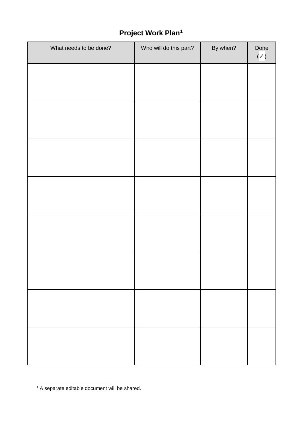### **Project Work Plan<sup>1</sup>**

| What needs to be done? | Who will do this part? | By when? | Done<br>$(\checkmark)$ |
|------------------------|------------------------|----------|------------------------|
|                        |                        |          |                        |
|                        |                        |          |                        |
|                        |                        |          |                        |
|                        |                        |          |                        |
|                        |                        |          |                        |
|                        |                        |          |                        |
|                        |                        |          |                        |
|                        |                        |          |                        |
|                        |                        |          |                        |
|                        |                        |          |                        |
|                        |                        |          |                        |
|                        |                        |          |                        |
|                        |                        |          |                        |
|                        |                        |          |                        |
|                        |                        |          |                        |
|                        |                        |          |                        |

 $1$  A separate editable document will be shared.

-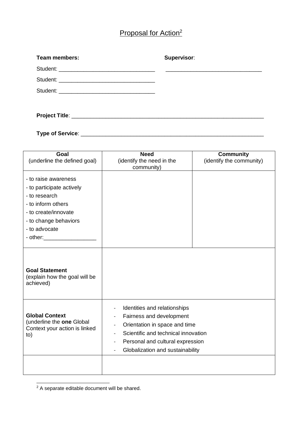### Proposal for Action<sup>2</sup>

| <b>Team members:</b> | Supervisor: |
|----------------------|-------------|
|                      |             |
|                      |             |
|                      |             |
|                      |             |
|                      |             |

**Type of Service**: \_\_\_\_\_\_\_\_\_\_\_\_\_\_\_\_\_\_\_\_\_\_\_\_\_\_\_\_\_\_\_\_\_\_\_\_\_\_\_\_\_\_\_\_\_\_\_\_\_\_\_\_\_\_\_\_\_\_\_

| Goal<br>(underline the defined goal)                                                                                                                                   | <b>Need</b><br>(identify the need in the<br>community)                                                                                                                                                                                                                                | <b>Community</b><br>(identify the community) |
|------------------------------------------------------------------------------------------------------------------------------------------------------------------------|---------------------------------------------------------------------------------------------------------------------------------------------------------------------------------------------------------------------------------------------------------------------------------------|----------------------------------------------|
| - to raise awareness<br>- to participate actively<br>- to research<br>- to inform others<br>- to create/innovate<br>- to change behaviors<br>- to advocate<br>- other: |                                                                                                                                                                                                                                                                                       |                                              |
| <b>Goal Statement</b><br>(explain how the goal will be<br>achieved)                                                                                                    |                                                                                                                                                                                                                                                                                       |                                              |
| <b>Global Context</b><br>(underline the one Global<br>Context your action is linked<br>to)                                                                             | Identities and relationships<br>$\overline{\phantom{a}}$<br>Fairness and development<br>$\qquad \qquad -$<br>Orientation in space and time<br>$\overline{\phantom{a}}$<br>Scientific and technical innovation<br>Personal and cultural expression<br>Globalization and sustainability |                                              |
|                                                                                                                                                                        |                                                                                                                                                                                                                                                                                       |                                              |

- $2$  A separate editable document will be shared.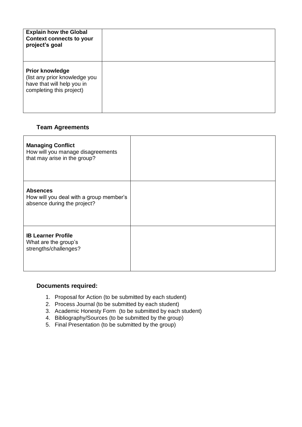| <b>Explain how the Global</b><br><b>Context connects to your</b><br>project's goal                                |  |
|-------------------------------------------------------------------------------------------------------------------|--|
| <b>Prior knowledge</b><br>(list any prior knowledge you<br>have that will help you in<br>completing this project) |  |

### **Team Agreements**

| <b>Managing Conflict</b><br>How will you manage disagreements<br>that may arise in the group? |  |
|-----------------------------------------------------------------------------------------------|--|
| <b>Absences</b><br>How will you deal with a group member's<br>absence during the project?     |  |
| <b>IB Learner Profile</b><br>What are the group's<br>strengths/challenges?                    |  |

### **Documents required:**

- 1. Proposal for Action (to be submitted by each student)
- 2. Process Journal (to be submitted by each student)
- 3. Academic Honesty Form (to be submitted by each student)
- 4. Bibliography/Sources (to be submitted by the group)
- 5. Final Presentation (to be submitted by the group)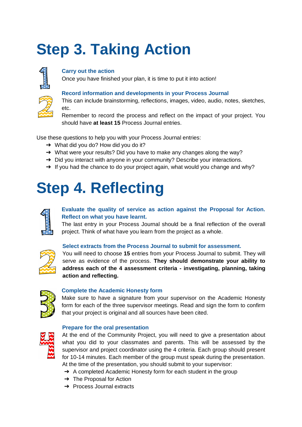# **Step 3. Taking Action**



### **Carry out the action**

Once you have finished your plan, it is time to put it into action!

#### **Record information and developments in your Process Journal**

This can include brainstorming, reflections, images, video, audio, notes, sketches, etc.

Remember to record the process and reflect on the impact of your project. You should have **at least 15** Process Journal entries.

Use these questions to help you with your Process Journal entries:

- $\rightarrow$  What did you do? How did you do it?
- ➔ What were your results? Did you have to make any changes along the way?
- → Did you interact with anyone in your community? Describe your interactions.
- → If you had the chance to do your project again, what would you change and why?

## **Step 4. Reflecting**



### **Evaluate the quality of service as action against the Proposal for Action. Reflect on what you have learnt.**

The last entry in your Process Journal should be a final reflection of the overall project. Think of what have you learn from the project as a whole.



### **Select extracts from the Process Journal to submit for assessment.**

You will need to choose **15** entries from your Process Journal to submit. They will serve as evidence of the process. **They should demonstrate your ability to address each of the 4 assessment criteria - investigating, planning, taking action and reflecting.**



#### **Complete the Academic Honesty form**

Make sure to have a signature from your supervisor on the Academic Honesty form for each of the three supervisor meetings. Read and sign the form to confirm that your project is original and all sources have been cited.

#### **Prepare for the oral presentation**



At the end of the Community Project, you will need to give a presentation about what you did to your classmates and parents. This will be assessed by the supervisor and project coordinator using the 4 criteria. Each group should present for 10-14 minutes. Each member of the group must speak during the presentation. At the time of the presentation, you should submit to your supervisor:

- → A completed Academic Honesty form for each student in the group
- $\rightarrow$  The Proposal for Action
- ➔ Process Journal extracts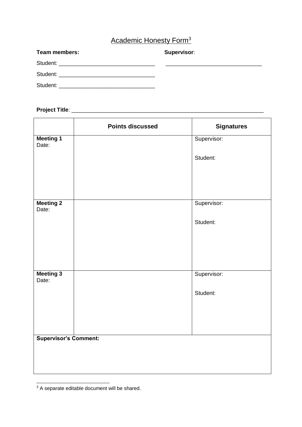### Academic Honesty Form<sup>3</sup>

| <b>Team members:</b> | Supervisor: |
|----------------------|-------------|
|                      |             |
|                      |             |
|                      |             |

### **Project Title**: \_\_\_\_\_\_\_\_\_\_\_\_\_\_\_\_\_\_\_\_\_\_\_\_\_\_\_\_\_\_\_\_\_\_\_\_\_\_\_\_\_\_\_\_\_\_\_\_\_\_\_\_\_\_\_\_\_\_\_\_\_\_

|                              | <b>Points discussed</b> | <b>Signatures</b> |
|------------------------------|-------------------------|-------------------|
| <b>Meeting 1</b><br>Date:    |                         | Supervisor:       |
|                              |                         | Student:          |
|                              |                         |                   |
|                              |                         |                   |
| <b>Meeting 2</b><br>Date:    |                         | Supervisor:       |
|                              |                         | Student:          |
|                              |                         |                   |
|                              |                         |                   |
| <b>Meeting 3</b><br>Date:    |                         | Supervisor:       |
|                              |                         | Student:          |
|                              |                         |                   |
|                              |                         |                   |
| <b>Supervisor's Comment:</b> |                         |                   |
|                              |                         |                   |
|                              |                         |                   |

 $3$  A separate editable document will be shared.

-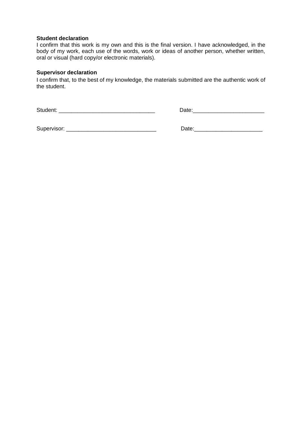#### **Student declaration**

I confirm that this work is my own and this is the final version. I have acknowledged, in the body of my work, each use of the words, work or ideas of another person, whether written, oral or visual (hard copy/or electronic materials).

#### **Supervisor declaration**

I confirm that, to the best of my knowledge, the materials submitted are the authentic work of the student.

Student: \_\_\_\_\_\_\_\_\_\_\_\_\_\_\_\_\_\_\_\_\_\_\_\_\_\_\_\_\_\_\_ Date:\_\_\_\_\_\_\_\_\_\_\_\_\_\_\_\_\_\_\_\_\_\_\_

Supervisor: \_\_\_\_\_\_\_\_\_\_\_\_\_\_\_\_\_\_\_\_\_\_\_\_\_\_\_\_\_ Date:\_\_\_\_\_\_\_\_\_\_\_\_\_\_\_\_\_\_\_\_\_\_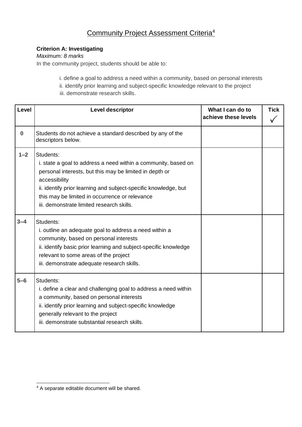### Community Project Assessment Criteria<sup>4</sup>

### **Criterion A: Investigating**

### *Maximum: 8 marks*

In the community project, students should be able to:

 i. define a goal to address a need within a community, based on personal interests ii. identify prior learning and subject-specific knowledge relevant to the project iii. demonstrate research skills.

| Level    | <b>Level descriptor</b>                                                                                                                                                                                                                                                                                                   | What I can do to<br>achieve these levels |  |
|----------|---------------------------------------------------------------------------------------------------------------------------------------------------------------------------------------------------------------------------------------------------------------------------------------------------------------------------|------------------------------------------|--|
| $\bf{0}$ | Students do not achieve a standard described by any of the<br>descriptors below.                                                                                                                                                                                                                                          |                                          |  |
| $1 - 2$  | Students:<br>i. state a goal to address a need within a community, based on<br>personal interests, but this may be limited in depth or<br>accessibility<br>ii. identify prior learning and subject-specific knowledge, but<br>this may be limited in occurrence or relevance<br>iii, demonstrate limited research skills. |                                          |  |
| $3 - 4$  | Students:<br>i. outline an adequate goal to address a need within a<br>community, based on personal interests<br>ii. identify basic prior learning and subject-specific knowledge<br>relevant to some areas of the project<br>iii. demonstrate adequate research skills.                                                  |                                          |  |
| $5-6$    | Students:<br>i. define a clear and challenging goal to address a need within<br>a community, based on personal interests<br>ii. identify prior learning and subject-specific knowledge<br>generally relevant to the project<br>iii. demonstrate substantial research skills.                                              |                                          |  |

<sup>-</sup><sup>4</sup> A separate editable document will be shared.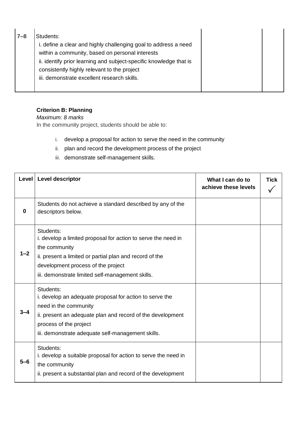| $7 - 8$ | Students:<br>i. define a clear and highly challenging goal to address a need<br>within a community, based on personal interests<br>ii. identify prior learning and subject-specific knowledge that is<br>consistently highly relevant to the project |  |
|---------|------------------------------------------------------------------------------------------------------------------------------------------------------------------------------------------------------------------------------------------------------|--|
|         | iii. demonstrate excellent research skills.                                                                                                                                                                                                          |  |

### **Criterion B: Planning**

*Maximum: 8 marks*

In the community project, students should be able to:

- i. develop a proposal for action to serve the need in the community
- ii. plan and record the development process of the project
- iii. demonstrate self-management skills.

| Level    | <b>Level descriptor</b>                                                                                                                                                                                                                          | What I can do to<br>achieve these levels | <b>Tick</b> |
|----------|--------------------------------------------------------------------------------------------------------------------------------------------------------------------------------------------------------------------------------------------------|------------------------------------------|-------------|
| $\bf{0}$ | Students do not achieve a standard described by any of the<br>descriptors below.                                                                                                                                                                 |                                          |             |
| $1 - 2$  | Students:<br>i. develop a limited proposal for action to serve the need in<br>the community<br>ii. present a limited or partial plan and record of the<br>development process of the project<br>iii. demonstrate limited self-management skills. |                                          |             |
|          | Students:<br>i. develop an adequate proposal for action to serve the<br>need in the community<br>ii. present an adequate plan and record of the development<br>process of the project<br>iii. demonstrate adequate self-management skills.       |                                          |             |
| $5-6$    | Students:<br>i. develop a suitable proposal for action to serve the need in<br>the community<br>ii. present a substantial plan and record of the development                                                                                     |                                          |             |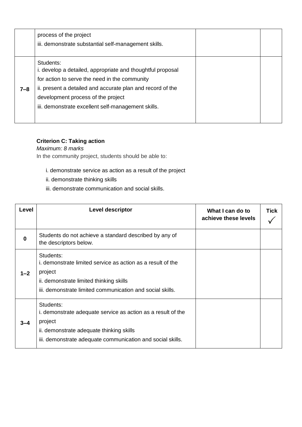|     | process of the project<br>iii. demonstrate substantial self-management skills.                                                                                                                                                                                                     |  |
|-----|------------------------------------------------------------------------------------------------------------------------------------------------------------------------------------------------------------------------------------------------------------------------------------|--|
| 7–8 | Students:<br>i. develop a detailed, appropriate and thoughtful proposal<br>for action to serve the need in the community<br>ii. present a detailed and accurate plan and record of the<br>development process of the project<br>iii. demonstrate excellent self-management skills. |  |

### **Criterion C: Taking action**

*Maximum: 8 marks* In the community project, students should be able to:

- i. demonstrate service as action as a result of the project
- ii. demonstrate thinking skills
- iii. demonstrate communication and social skills.

| Level        | <b>Level descriptor</b>                                                                                                                                                                        | What I can do to<br>achieve these levels | <b>Tick</b> |
|--------------|------------------------------------------------------------------------------------------------------------------------------------------------------------------------------------------------|------------------------------------------|-------------|
| $\mathbf{0}$ | Students do not achieve a standard described by any of<br>the descriptors below.                                                                                                               |                                          |             |
| $1 - 2$      | Students:<br>i. demonstrate limited service as action as a result of the<br>project<br>ii. demonstrate limited thinking skills<br>iii. demonstrate limited communication and social skills.    |                                          |             |
| $3 - 4$      | Students:<br>i. demonstrate adequate service as action as a result of the<br>project<br>ii. demonstrate adequate thinking skills<br>iii. demonstrate adequate communication and social skills. |                                          |             |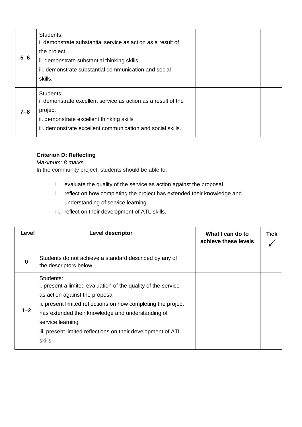| $5 - 6$ | Students:<br>i, demonstrate substantial service as action as a result of<br>the project<br>ii. demonstrate substantial thinking skills<br>iii. demonstrate substantial communication and social<br>skills. |  |
|---------|------------------------------------------------------------------------------------------------------------------------------------------------------------------------------------------------------------|--|
| $7 - 8$ | Students:<br>i, demonstrate excellent service as action as a result of the<br>project<br>ii. demonstrate excellent thinking skills<br>iii. demonstrate excellent communication and social skills.          |  |

### **Criterion D: Reflecting**

### *Maximum: 8 marks*

In the community project, students should be able to:

- i. evaluate the quality of the service as action against the proposal
- ii. reflect on how completing the project has extended their knowledge and understanding of service learning
- iii. reflect on their development of ATL skills.

| Level   | <b>Level descriptor</b>                                                                                                                                                                                                                                                                                                           | What I can do to<br>achieve these levels | <b>Tick</b> |
|---------|-----------------------------------------------------------------------------------------------------------------------------------------------------------------------------------------------------------------------------------------------------------------------------------------------------------------------------------|------------------------------------------|-------------|
| 0       | Students do not achieve a standard described by any of<br>the descriptors below.                                                                                                                                                                                                                                                  |                                          |             |
| $1 - 2$ | Students:<br>i. present a limited evaluation of the quality of the service<br>as action against the proposal<br>ii. present limited reflections on how completing the project<br>has extended their knowledge and understanding of<br>service learning<br>iii. present limited reflections on their development of ATL<br>skills. |                                          |             |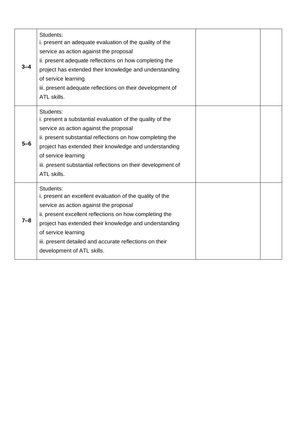| $3 - 4$ | Students:<br>i. present an adequate evaluation of the quality of the<br>service as action against the proposal<br>ii. present adequate reflections on how completing the<br>project has extended their knowledge and understanding<br>of service learning<br>iii. present adequate reflections on their development of<br>ATL skills.                |  |
|---------|------------------------------------------------------------------------------------------------------------------------------------------------------------------------------------------------------------------------------------------------------------------------------------------------------------------------------------------------------|--|
| $5-6$   | Students:<br>i. present a substantial evaluation of the quality of the<br>service as action against the proposal<br>ii. present substantial reflections on how completing the<br>project has extended their knowledge and understanding<br>of service learning<br>iii. present substantial reflections on their development of<br>ATL skills.        |  |
| $7 - 8$ | Students:<br>i. present an excellent evaluation of the quality of the<br>service as action against the proposal<br>ii. present excellent reflections on how completing the<br>project has extended their knowledge and understanding<br>of service learning<br>iii. present detailed and accurate reflections on their<br>development of ATL skills. |  |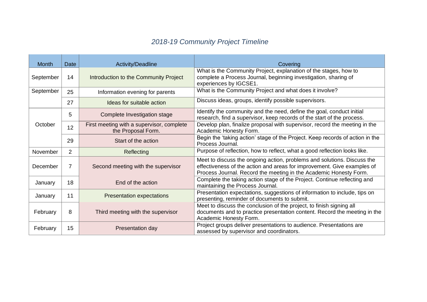### *2018-19 Community Project Timeline*

| <b>Month</b> | <b>Date</b>    | Activity/Deadline                                               | Covering                                                                                                                                                                                                                |
|--------------|----------------|-----------------------------------------------------------------|-------------------------------------------------------------------------------------------------------------------------------------------------------------------------------------------------------------------------|
| September    | 14             | Introduction to the Community Project                           | What is the Community Project, explanation of the stages, how to<br>complete a Process Journal, beginning investigation, sharing of<br>experiences by IGCSE1.                                                           |
| September    | 25             | Information evening for parents                                 | What is the Community Project and what does it involve?                                                                                                                                                                 |
|              | 27             | Ideas for suitable action                                       | Discuss ideas, groups, identify possible supervisors.                                                                                                                                                                   |
|              | 5              | Complete Investigation stage                                    | Identify the community and the need, define the goal, conduct initial<br>research, find a supervisor, keep records of the start of the process.                                                                         |
| October      | 12             | First meeting with a supervisor, complete<br>the Proposal Form. | Develop plan, finalize proposal with supervisor, record the meeting in the<br>Academic Honesty Form.                                                                                                                    |
|              | 29             | Start of the action                                             | Begin the 'taking action' stage of the Project. Keep records of action in the<br>Process Journal.                                                                                                                       |
| November     | $\overline{2}$ | Reflecting                                                      | Purpose of reflection, how to reflect, what a good reflection looks like.                                                                                                                                               |
| December     | 7              | Second meeting with the supervisor                              | Meet to discuss the ongoing action, problems and solutions. Discuss the<br>effectiveness of the action and areas for improvement. Give examples of<br>Process Journal. Record the meeting in the Academic Honesty Form. |
| January      | 18             | End of the action                                               | Complete the taking action stage of the Project. Continue reflecting and<br>maintaining the Process Journal.                                                                                                            |
| January      | 11             | <b>Presentation expectations</b>                                | Presentation expectations, suggestions of information to include, tips on<br>presenting, reminder of documents to submit.                                                                                               |
| February     | 8              | Third meeting with the supervisor                               | Meet to discuss the conclusion of the project, to finish signing all<br>documents and to practice presentation content. Record the meeting in the<br>Academic Honesty Form.                                             |
| February     | 15             | Presentation day                                                | Project groups deliver presentations to audience. Presentations are<br>assessed by supervisor and coordinators.                                                                                                         |